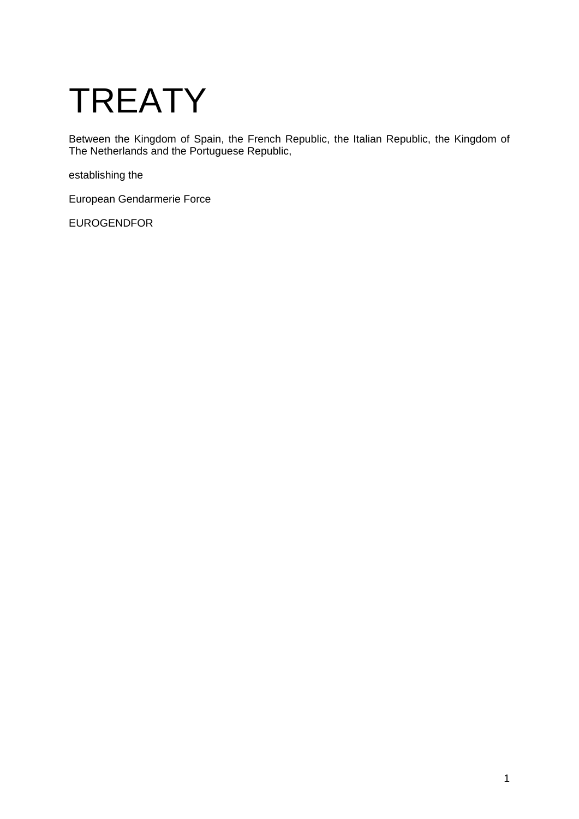# **TREATY**

Between the Kingdom of Spain, the French Republic, the Italian Republic, the Kingdom of The Netherlands and the Portuguese Republic,

establishing the

European Gendarmerie Force

EUROGENDFOR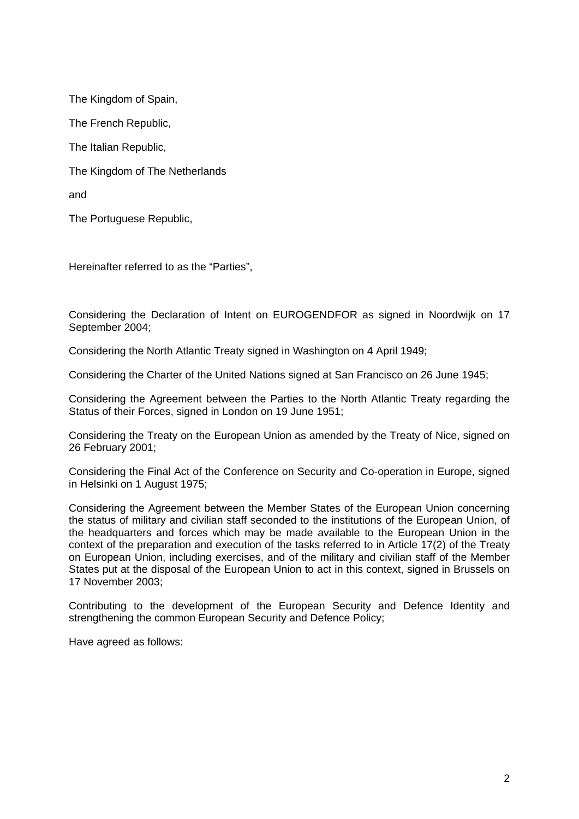The Kingdom of Spain, The French Republic, The Italian Republic, The Kingdom of The Netherlands and

The Portuguese Republic,

Hereinafter referred to as the "Parties",

Considering the Declaration of Intent on EUROGENDFOR as signed in Noordwijk on 17 September 2004;

Considering the North Atlantic Treaty signed in Washington on 4 April 1949;

Considering the Charter of the United Nations signed at San Francisco on 26 June 1945;

Considering the Agreement between the Parties to the North Atlantic Treaty regarding the Status of their Forces, signed in London on 19 June 1951;

Considering the Treaty on the European Union as amended by the Treaty of Nice, signed on 26 February 2001;

Considering the Final Act of the Conference on Security and Co-operation in Europe, signed in Helsinki on 1 August 1975;

Considering the Agreement between the Member States of the European Union concerning the status of military and civilian staff seconded to the institutions of the European Union, of the headquarters and forces which may be made available to the European Union in the context of the preparation and execution of the tasks referred to in Article 17(2) of the Treaty on European Union, including exercises, and of the military and civilian staff of the Member States put at the disposal of the European Union to act in this context, signed in Brussels on 17 November 2003;

Contributing to the development of the European Security and Defence Identity and strengthening the common European Security and Defence Policy;

Have agreed as follows: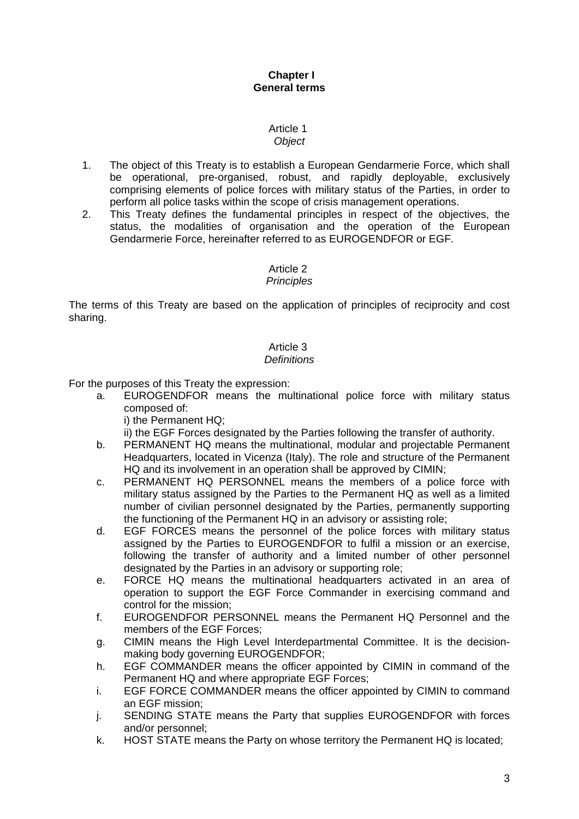## **Chapter I General terms**

#### Article 1 *Object*

- 1. The object of this Treaty is to establish a European Gendarmerie Force, which shall be operational, pre-organised, robust, and rapidly deployable, exclusively comprising elements of police forces with military status of the Parties, in order to perform all police tasks within the scope of crisis management operations.
- 2. This Treaty defines the fundamental principles in respect of the objectives, the status, the modalities of organisation and the operation of the European Gendarmerie Force, hereinafter referred to as EUROGENDFOR or EGF.

## Article 2

## *Principles*

The terms of this Treaty are based on the application of principles of reciprocity and cost sharing.

# Article 3

## *Definitions*

For the purposes of this Treaty the expression:

- a. EUROGENDFOR means the multinational police force with military status composed of:
	- i) the Permanent HQ;
	- ii) the EGF Forces designated by the Parties following the transfer of authority.
- b. PERMANENT HQ means the multinational, modular and projectable Permanent Headquarters, located in Vicenza (Italy). The role and structure of the Permanent HQ and its involvement in an operation shall be approved by CIMIN;
- <span id="page-2-0"></span>c. PERMANENT HQ PERSONNEL means the members of a police force with military status assigned by the Parties to the Permanent HQ as well as a limited number of civilian personnel designated by the Parties, permanently supporting the functioning of the Permanent HQ in an advisory or assisting role;
- d. EGF FORCES means the personnel of the police forces with military status assigned by the Parties to EUROGENDFOR to fulfil a mission or an exercise, following the transfer of authority and a limited number of other personnel designated by the Parties in an advisory or supporting role;
- e. FORCE HQ means the multinational headquarters activated in an area of operation to support the EGF Force Commander in exercising command and control for the mission;
- f. EUROGENDFOR PERSONNEL means the Permanent HQ Personnel and the members of the EGF Forces;
- g. CIMIN means the High Level Interdepartmental Committee. It is the decisionmaking body governing EUROGENDFOR;
- h. EGF COMMANDER means the officer appointed by CIMIN in command of the Permanent HQ and where appropriate EGF Forces;
- i. EGF FORCE COMMANDER means the officer appointed by CIMIN to command an EGF mission;
- j. SENDING STATE means the Party that supplies EUROGENDFOR with forces and/or personnel;
- k. HOST STATE means the Party on whose territory the Permanent HQ is located;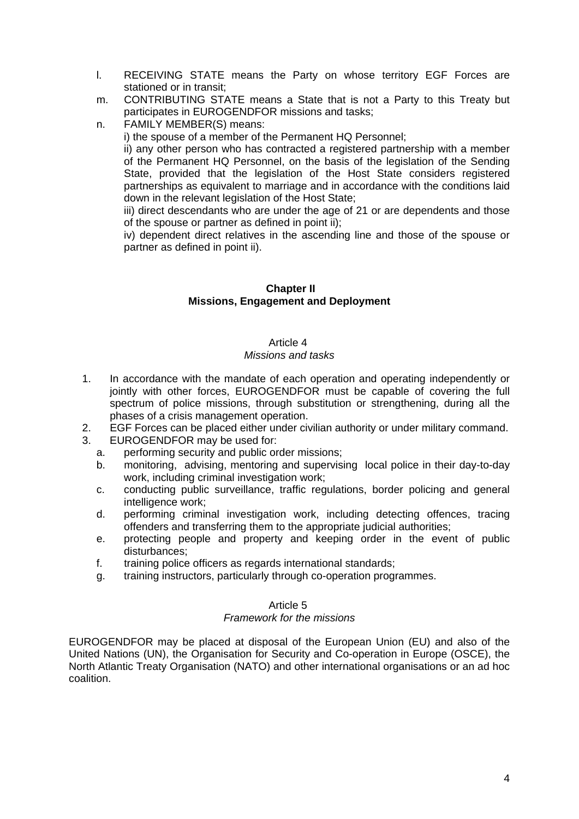- l. RECEIVING STATE means the Party on whose territory EGF Forces are stationed or in transit;
- m. CONTRIBUTING STATE means a State that is not a Party to this Treaty but participates in EUROGENDFOR missions and tasks;
- n. FAMILY MEMBER(S) means:

i) the spouse of a member of the Permanent HQ Personnel;

ii) any other person who has contracted a registered partnership with a member of the Permanent HQ Personnel, on the basis of the legislation of the Sending State, provided that the legislation of the Host State considers registered partnerships as equivalent to marriage and in accordance with the conditions laid down in the relevant legislation of the Host State;

iii) direct descendants who are under the age of 21 or are dependents and those of the spouse or partner as defined in point ii);

iv) dependent direct relatives in the ascending line and those of the spouse or partner as defined in point ii).

## **Chapter II Missions, Engagement and Deployment**

## Article 4 *Missions and tasks*

- 1. In accordance with the mandate of each operation and operating independently or jointly with other forces, EUROGENDFOR must be capable of covering the full spectrum of police missions, through substitution or strengthening, during all the phases of a crisis management operation.
- 2. EGF Forces can be placed either under civilian authority or under military command.
- 3. EUROGENDFOR may be used for:
	- a. performing security and public order missions;
	- b. monitoring, advising, mentoring and supervising local police in their day-to-day work, including criminal investigation work;
	- c. conducting public surveillance, traffic regulations, border policing and general intelligence work;
	- d. performing criminal investigation work, including detecting offences, tracing offenders and transferring them to the appropriate judicial authorities;
	- e. protecting people and property and keeping order in the event of public disturbances;
	- f. training police officers as regards international standards;
	- g. training instructors, particularly through co-operation programmes.

## Article 5

## *Framework for the missions*

EUROGENDFOR may be placed at disposal of the European Union (EU) and also of the United Nations (UN), the Organisation for Security and Co-operation in Europe (OSCE), the North Atlantic Treaty Organisation (NATO) and other international organisations or an ad hoc coalition.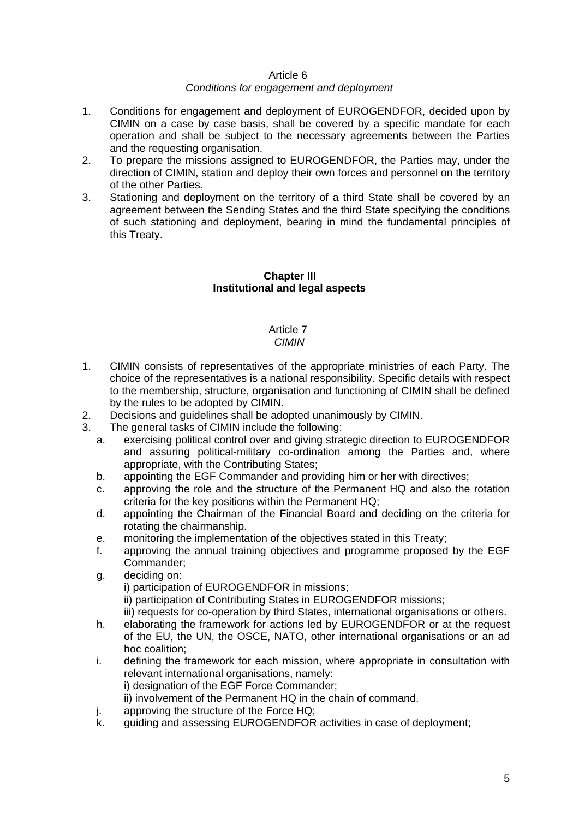#### *Conditions for engagement and deployment*

- 1. Conditions for engagement and deployment of EUROGENDFOR, decided upon by CIMIN on a case by case basis, shall be covered by a specific mandate for each operation and shall be subject to the necessary agreements between the Parties and the requesting organisation.
- 2. To prepare the missions assigned to EUROGENDFOR, the Parties may, under the direction of CIMIN, station and deploy their own forces and personnel on the territory of the other Parties.
- 3. Stationing and deployment on the territory of a third State shall be covered by an agreement between the Sending States and the third State specifying the conditions of such stationing and deployment, bearing in mind the fundamental principles of this Treaty.

## **Chapter III Institutional and legal aspects**

# Article 7

## *CIMIN*

- 1. CIMIN consists of representatives of the appropriate ministries of each Party. The choice of the representatives is a national responsibility. Specific details with respect to the membership, structure, organisation and functioning of CIMIN shall be defined by the rules to be adopted by CIMIN.
- 2. Decisions and guidelines shall be adopted unanimously by CIMIN.
- 3. The general tasks of CIMIN include the following:
	- a. exercising political control over and giving strategic direction to EUROGENDFOR and assuring political-military co-ordination among the Parties and, where appropriate, with the Contributing States;
	- b. appointing the EGF Commander and providing him or her with directives;
	- c. approving the role and the structure of the Permanent HQ and also the rotation criteria for the key positions within the Permanent HQ;
	- d. appointing the Chairman of the Financial Board and deciding on the criteria for rotating the chairmanship.
	- e. monitoring the implementation of the objectives stated in this Treaty;
	- f. approving the annual training objectives and programme proposed by the EGF Commander;
	- g. deciding on:

i) participation of EUROGENDFOR in missions;

ii) participation of Contributing States in EUROGENDFOR missions;

- iii) requests for co-operation by third States, international organisations or others.
- h. elaborating the framework for actions led by EUROGENDFOR or at the request of the EU, the UN, the OSCE, NATO, other international organisations or an ad hoc coalition;

i. defining the framework for each mission, where appropriate in consultation with relevant international organisations, namely: i) designation of the EGF Force Commander; ii) involvement of the Permanent HQ in the chain of command.

- j. approving the structure of the Force HQ;
- k. guiding and assessing EUROGENDFOR activities in case of deployment;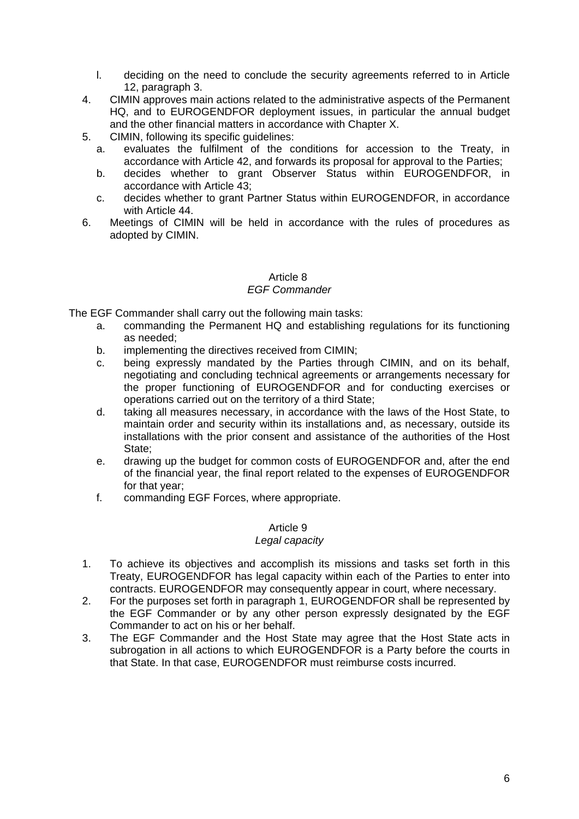- l. deciding on the need to conclude the security agreements referred to in Article 12, paragraph 3.
- 4. CIMIN approves main actions related to the administrative aspects of the Permanent HQ, and to EUROGENDFOR deployment issues, in particular the annual budget and the other financial matters in accordance with [Chapter X.](#page-13-0)
- 5. CIMIN, following its specific guidelines:
	- a. evaluates the fulfilment of the conditions for accession to the Treaty, in accordance with Article 42, and forwards its proposal for approval to the Parties;
	- b. decides whether to grant Observer Status within EUROGENDFOR, in accordance with Article 43;
	- c. decides whether to grant Partner Status within EUROGENDFOR, in accordance with Article 44.
- 6. Meetings of CIMIN will be held in accordance with the rules of procedures as adopted by CIMIN.

## *EGF Commander*

The EGF Commander shall carry out the following main tasks:

- a. commanding the Permanent HQ and establishing regulations for its functioning as needed;
- b. implementing the directives received from CIMIN;
- c. being expressly mandated by the Parties through CIMIN, and on its behalf, negotiating and concluding technical agreements or arrangements necessary for the proper functioning of EUROGENDFOR and for conducting exercises or operations carried out on the territory of a third State;
- d. taking all measures necessary, in accordance with the laws of the Host State, to maintain order and security within its installations and, as necessary, outside its installations with the prior consent and assistance of the authorities of the Host State;
- e. drawing up the budget for common costs of EUROGENDFOR and, after the end of the financial year, the final report related to the expenses of EUROGENDFOR for that year;
- f. commanding EGF Forces, where appropriate.

## Article 9

## *Legal capacity*

- 1. To achieve its objectives and accomplish its missions and tasks set forth in this Treaty, EUROGENDFOR has legal capacity within each of the Parties to enter into contracts. EUROGENDFOR may consequently appear in court, where necessary.
- 2. For the purposes set forth in paragraph 1, EUROGENDFOR shall be represented by the EGF Commander or by any other person expressly designated by the EGF Commander to act on his or her behalf.
- 3. The EGF Commander and the Host State may agree that the Host State acts in subrogation in all actions to which EUROGENDFOR is a Party before the courts in that State. In that case, EUROGENDFOR must reimburse costs incurred.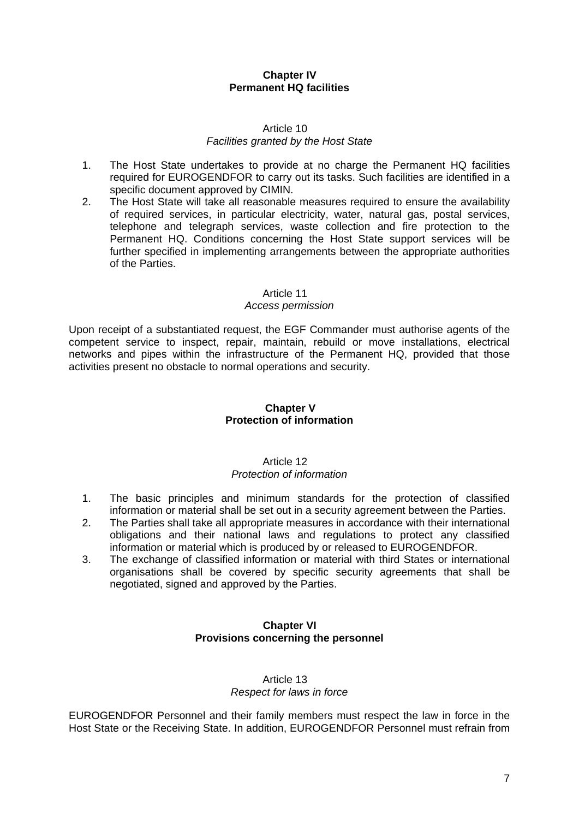## **Chapter IV Permanent HQ facilities**

#### Article 10 *Facilities granted by the Host State*

- 1. The Host State undertakes to provide at no charge the Permanent HQ facilities required for EUROGENDFOR to carry out its tasks. Such facilities are identified in a specific document approved by CIMIN.
- 2. The Host State will take all reasonable measures required to ensure the availability of required services, in particular electricity, water, natural gas, postal services, telephone and telegraph services, waste collection and fire protection to the Permanent HQ. Conditions concerning the Host State support services will be further specified in implementing arrangements between the appropriate authorities of the Parties.

#### Article 11

## *Access permission*

Upon receipt of a substantiated request, the EGF Commander must authorise agents of the competent service to inspect, repair, maintain, rebuild or move installations, electrical networks and pipes within the infrastructure of the Permanent HQ, provided that those activities present no obstacle to normal operations and security.

## **Chapter V Protection of information**

#### Article 12 *Protection of information*

- 1. The basic principles and minimum standards for the protection of classified information or material shall be set out in a security agreement between the Parties.
- 2. The Parties shall take all appropriate measures in accordance with their international obligations and their national laws and regulations to protect any classified information or material which is produced by or released to EUROGENDFOR.
- 3. The exchange of classified information or material with third States or international organisations shall be covered by specific security agreements that shall be negotiated, signed and approved by the Parties.

## **Chapter VI Provisions concerning the personnel**

#### Article 13 *Respect for laws in force*

EUROGENDFOR Personnel and their family members must respect the law in force in the Host State or the Receiving State. In addition, EUROGENDFOR Personnel must refrain from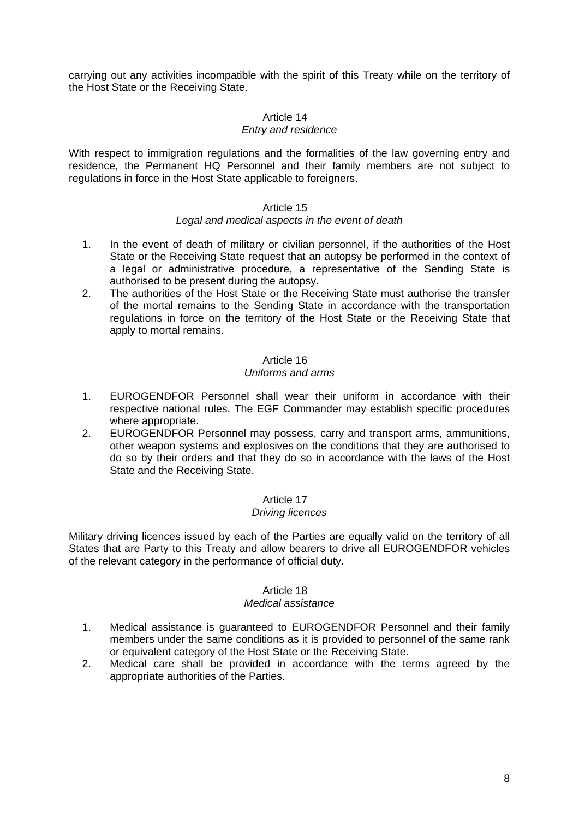carrying out any activities incompatible with the spirit of this Treaty while on the territory of the Host State or the Receiving State.

## Article 14

#### *Entry and residence*

With respect to immigration regulations and the formalities of the law governing entry and residence, the Permanent HQ Personnel and their family members are not subject to regulations in force in the Host State applicable to foreigners.

#### Article 15

#### *Legal and medical aspects in the event of death*

- 1. In the event of death of military or civilian personnel, if the authorities of the Host State or the Receiving State request that an autopsy be performed in the context of a legal or administrative procedure, a representative of the Sending State is authorised to be present during the autopsy.
- 2. The authorities of the Host State or the Receiving State must authorise the transfer of the mortal remains to the Sending State in accordance with the transportation regulations in force on the territory of the Host State or the Receiving State that apply to mortal remains.

#### Article 16

#### *Uniforms and arms*

- 1. EUROGENDFOR Personnel shall wear their uniform in accordance with their respective national rules. The EGF Commander may establish specific procedures where appropriate.
- 2. EUROGENDFOR Personnel may possess, carry and transport arms, ammunitions, other weapon systems and explosives on the conditions that they are authorised to do so by their orders and that they do so in accordance with the laws of the Host State and the Receiving State.

#### Article 17

#### *Driving licences*

Military driving licences issued by each of the Parties are equally valid on the territory of all States that are Party to this Treaty and allow bearers to drive all EUROGENDFOR vehicles of the relevant category in the performance of official duty.

#### Article 18

#### *Medical assistance*

- 1. Medical assistance is guaranteed to EUROGENDFOR Personnel and their family members under the same conditions as it is provided to personnel of the same rank or equivalent category of the Host State or the Receiving State.
- 2. Medical care shall be provided in accordance with the terms agreed by the appropriate authorities of the Parties.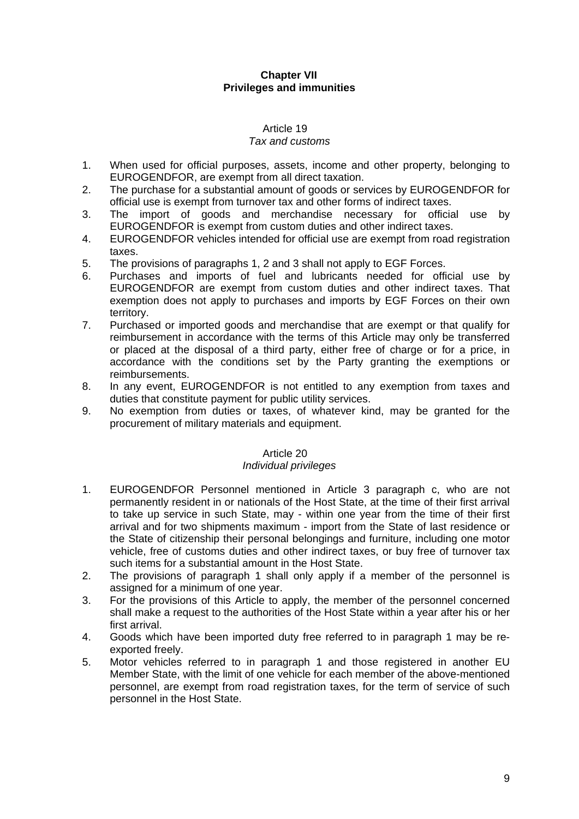## **Chapter VII Privileges and immunities**

## Article 19

#### *Tax and customs*

- 1. When used for official purposes, assets, income and other property, belonging to EUROGENDFOR, are exempt from all direct taxation.
- 2. The purchase for a substantial amount of goods or services by EUROGENDFOR for official use is exempt from turnover tax and other forms of indirect taxes.
- 3. The import of goods and merchandise necessary for official use by EUROGENDFOR is exempt from custom duties and other indirect taxes.
- 4. EUROGENDFOR vehicles intended for official use are exempt from road registration taxes.
- 5. The provisions of paragraphs 1, 2 and 3 shall not apply to EGF Forces.
- 6. Purchases and imports of fuel and lubricants needed for official use by EUROGENDFOR are exempt from custom duties and other indirect taxes. That exemption does not apply to purchases and imports by EGF Forces on their own territory.
- 7. Purchased or imported goods and merchandise that are exempt or that qualify for reimbursement in accordance with the terms of this Article may only be transferred or placed at the disposal of a third party, either free of charge or for a price, in accordance with the conditions set by the Party granting the exemptions or reimbursements.
- 8. In any event, EUROGENDFOR is not entitled to any exemption from taxes and duties that constitute payment for public utility services.
- 9. No exemption from duties or taxes, of whatever kind, may be granted for the procurement of military materials and equipment.

## Article 20

## *Individual privileges*

- 1. EUROGENDFOR Personnel mentioned in Article 3 paragraph [c](#page-2-0), who are not permanently resident in or nationals of the Host State, at the time of their first arrival to take up service in such State, may - within one year from the time of their first arrival and for two shipments maximum - import from the State of last residence or the State of citizenship their personal belongings and furniture, including one motor vehicle, free of customs duties and other indirect taxes, or buy free of turnover tax such items for a substantial amount in the Host State.
- 2. The provisions of paragraph 1 shall only apply if a member of the personnel is assigned for a minimum of one year.
- 3. For the provisions of this Article to apply, the member of the personnel concerned shall make a request to the authorities of the Host State within a year after his or her first arrival.
- 4. Goods which have been imported duty free referred to in paragraph 1 may be reexported freely.
- 5. Motor vehicles referred to in paragraph 1 and those registered in another EU Member State, with the limit of one vehicle for each member of the above-mentioned personnel, are exempt from road registration taxes, for the term of service of such personnel in the Host State.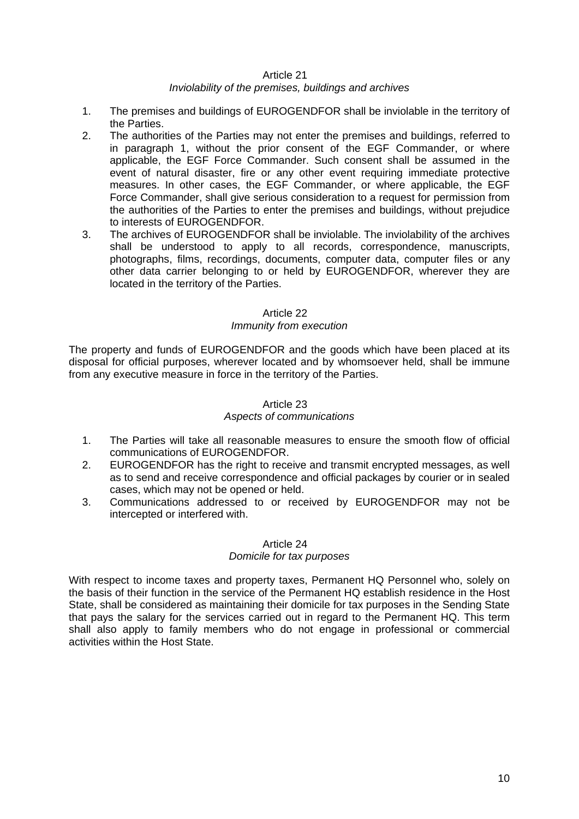## *Inviolability of the premises, buildings and archives*

- 1. The premises and buildings of EUROGENDFOR shall be inviolable in the territory of the Parties.
- 2. The authorities of the Parties may not enter the premises and buildings, referred to in paragraph 1, without the prior consent of the EGF Commander, or where applicable, the EGF Force Commander. Such consent shall be assumed in the event of natural disaster, fire or any other event requiring immediate protective measures. In other cases, the EGF Commander, or where applicable, the EGF Force Commander, shall give serious consideration to a request for permission from the authorities of the Parties to enter the premises and buildings, without prejudice to interests of EUROGENDFOR.
- 3. The archives of EUROGENDFOR shall be inviolable. The inviolability of the archives shall be understood to apply to all records, correspondence, manuscripts, photographs, films, recordings, documents, computer data, computer files or any other data carrier belonging to or held by EUROGENDFOR, wherever they are located in the territory of the Parties.

#### Article 22

#### *Immunity from execution*

The property and funds of EUROGENDFOR and the goods which have been placed at its disposal for official purposes, wherever located and by whomsoever held, shall be immune from any executive measure in force in the territory of the Parties.

## Article 23

#### *Aspects of communications*

- 1. The Parties will take all reasonable measures to ensure the smooth flow of official communications of EUROGENDFOR.
- 2. EUROGENDFOR has the right to receive and transmit encrypted messages, as well as to send and receive correspondence and official packages by courier or in sealed cases, which may not be opened or held.
- 3. Communications addressed to or received by EUROGENDFOR may not be intercepted or interfered with.

#### Article 24 *Domicile for tax purposes*

With respect to income taxes and property taxes, Permanent HQ Personnel who, solely on the basis of their function in the service of the Permanent HQ establish residence in the Host State, shall be considered as maintaining their domicile for tax purposes in the Sending State that pays the salary for the services carried out in regard to the Permanent HQ. This term shall also apply to family members who do not engage in professional or commercial activities within the Host State.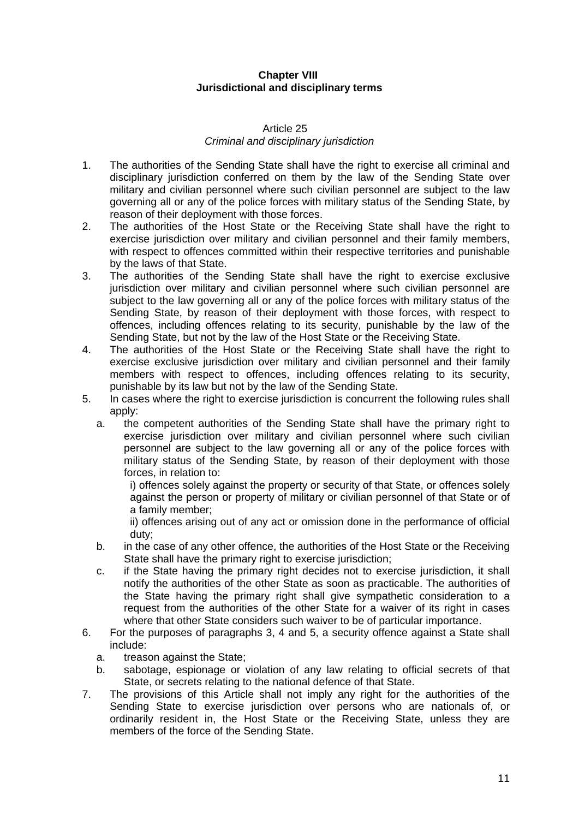## **Chapter VIII Jurisdictional and disciplinary terms**

#### Article 25 *Criminal and disciplinary jurisdiction*

- <span id="page-10-0"></span>1. The authorities of the Sending State shall have the right to exercise all criminal and disciplinary jurisdiction conferred on them by the law of the Sending State over military and civilian personnel where such civilian personnel are subject to the law governing all or any of the police forces with military status of the Sending State, by reason of their deployment with those forces.
- 2. The authorities of the Host State or the Receiving State shall have the right to exercise jurisdiction over military and civilian personnel and their family members, with respect to offences committed within their respective territories and punishable by the laws of that State.
- 3. The authorities of the Sending State shall have the right to exercise exclusive jurisdiction over military and civilian personnel where such civilian personnel are subject to the law governing all or any of the police forces with military status of the Sending State, by reason of their deployment with those forces, with respect to offences, including offences relating to its security, punishable by the law of the Sending State, but not by the law of the Host State or the Receiving State.
- 4. The authorities of the Host State or the Receiving State shall have the right to exercise exclusive jurisdiction over military and civilian personnel and their family members with respect to offences, including offences relating to its security, punishable by its law but not by the law of the Sending State.
- 5. In cases where the right to exercise jurisdiction is concurrent the following rules shall apply:
	- a. the competent authorities of the Sending State shall have the primary right to exercise jurisdiction over military and civilian personnel where such civilian personnel are subject to the law governing all or any of the police forces with military status of the Sending State, by reason of their deployment with those forces, in relation to:

i) offences solely against the property or security of that State, or offences solely against the person or property of military or civilian personnel of that State or of a family member;

ii) offences arising out of any act or omission done in the performance of official duty;

- b. in the case of any other offence, the authorities of the Host State or the Receiving State shall have the primary right to exercise jurisdiction;
- c. if the State having the primary right decides not to exercise jurisdiction, it shall notify the authorities of the other State as soon as practicable. The authorities of the State having the primary right shall give sympathetic consideration to a request from the authorities of the other State for a waiver of its right in cases where that other State considers such waiver to be of particular importance.
- 6. For the purposes of paragraphs 3, 4 and 5, a security offence against a State shall include:
	- a. treason against the State;
	- b. sabotage, espionage or violation of any law relating to official secrets of that State, or secrets relating to the national defence of that State.
- 7. The provisions of this Article shall not imply any right for the authorities of the Sending State to exercise jurisdiction over persons who are nationals of, or ordinarily resident in, the Host State or the Receiving State, unless they are members of the force of the Sending State.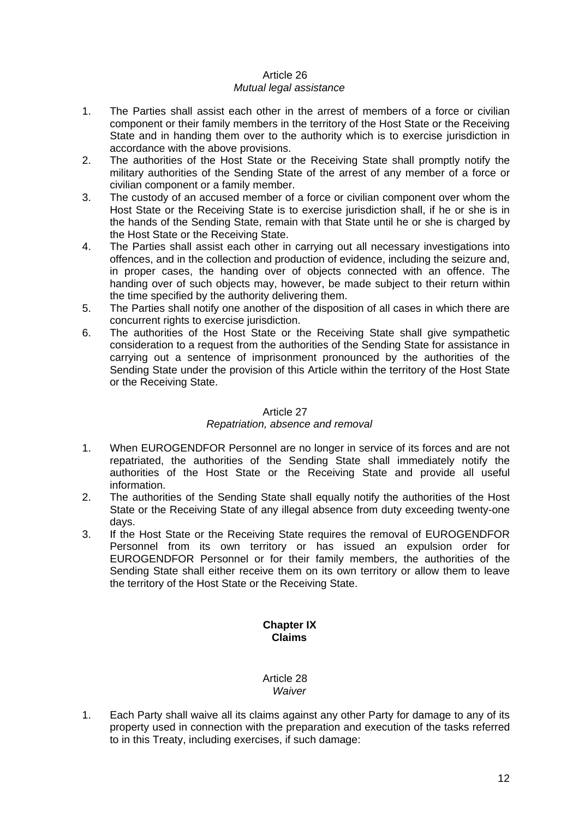## Article 26 *Mutual legal assistance*

- 1. The Parties shall assist each other in the arrest of members of a force or civilian component or their family members in the territory of the Host State or the Receiving State and in handing them over to the authority which is to exercise jurisdiction in accordance with the above provisions.
- 2. The authorities of the Host State or the Receiving State shall promptly notify the military authorities of the Sending State of the arrest of any member of a force or civilian component or a family member.
- 3. The custody of an accused member of a force or civilian component over whom the Host State or the Receiving State is to exercise jurisdiction shall, if he or she is in the hands of the Sending State, remain with that State until he or she is charged by the Host State or the Receiving State.
- 4. The Parties shall assist each other in carrying out all necessary investigations into offences, and in the collection and production of evidence, including the seizure and, in proper cases, the handing over of objects connected with an offence. The handing over of such objects may, however, be made subject to their return within the time specified by the authority delivering them.
- 5. The Parties shall notify one another of the disposition of all cases in which there are concurrent rights to exercise jurisdiction.
- 6. The authorities of the Host State or the Receiving State shall give sympathetic consideration to a request from the authorities of the Sending State for assistance in carrying out a sentence of imprisonment pronounced by the authorities of the Sending State under the provision of this Article within the territory of the Host State or the Receiving State.

## Article 27

## *Repatriation, absence and removal*

- 1. When EUROGENDFOR Personnel are no longer in service of its forces and are not repatriated, the authorities of the Sending State shall immediately notify the authorities of the Host State or the Receiving State and provide all useful information.
- 2. The authorities of the Sending State shall equally notify the authorities of the Host State or the Receiving State of any illegal absence from duty exceeding twenty-one days.
- <span id="page-11-0"></span>3. If the Host State or the Receiving State requires the removal of EUROGENDFOR Personnel from its own territory or has issued an expulsion order for EUROGENDFOR Personnel or for their family members, the authorities of the Sending State shall either receive them on its own territory or allow them to leave the territory of the Host State or the Receiving State.

## **Chapter IX Claims**

#### Article 28 *Waiver*

1. Each Party shall waive all its claims against any other Party for damage to any of its property used in connection with the preparation and execution of the tasks referred to in this Treaty, including exercises, if such damage: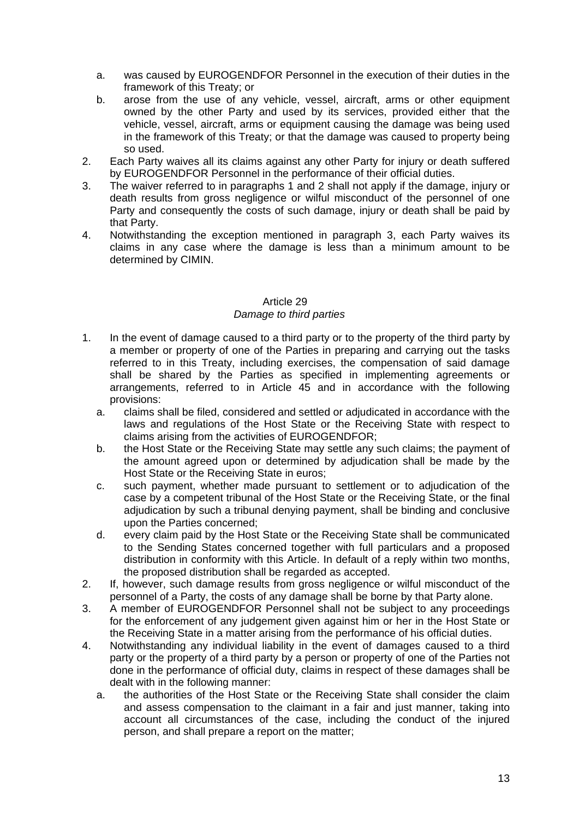- a. was caused by EUROGENDFOR Personnel in the execution of their duties in the framework of this Treaty; or
- b. arose from the use of any vehicle, vessel, aircraft, arms or other equipment owned by the other Party and used by its services, provided either that the vehicle, vessel, aircraft, arms or equipment causing the damage was being used in the framework of this Treaty; or that the damage was caused to property being so used.
- 2. Each Party waives all its claims against any other Party for injury or death suffered by EUROGENDFOR Personnel in the performance of their official duties.
- 3. The waiver referred to in paragraphs 1 and 2 shall not apply if the damage, injury or death results from gross negligence or wilful misconduct of the personnel of one Party and consequently the costs of such damage, injury or death shall be paid by that Party.
- 4. Notwithstanding the exception mentioned in paragraph 3, each Party waives its claims in any case where the damage is less than a minimum amount to be determined by CIMIN.

#### Article 29 *Damage to third parties*

- 1. In the event of damage caused to a third party or to the property of the third party by a member or property of one of the Parties in preparing and carrying out the tasks referred to in this Treaty, including exercises, the compensation of said damage shall be shared by the Parties as specified in implementing agreements or arrangements, referred to in Article 45 and in accordance with the following provisions:
	- a. claims shall be filed, considered and settled or adjudicated in accordance with the laws and regulations of the Host State or the Receiving State with respect to claims arising from the activities of EUROGENDFOR;
	- b. the Host State or the Receiving State may settle any such claims; the payment of the amount agreed upon or determined by adjudication shall be made by the Host State or the Receiving State in euros;
	- c. such payment, whether made pursuant to settlement or to adjudication of the case by a competent tribunal of the Host State or the Receiving State, or the final adjudication by such a tribunal denying payment, shall be binding and conclusive upon the Parties concerned;
	- d. every claim paid by the Host State or the Receiving State shall be communicated to the Sending States concerned together with full particulars and a proposed distribution in conformity with this Article. In default of a reply within two months, the proposed distribution shall be regarded as accepted.
- 2. If, however, such damage results from gross negligence or wilful misconduct of the personnel of a Party, the costs of any damage shall be borne by that Party alone.
- 3. A member of EUROGENDFOR Personnel shall not be subject to any proceedings for the enforcement of any judgement given against him or her in the Host State or the Receiving State in a matter arising from the performance of his official duties.
- 4. Notwithstanding any individual liability in the event of damages caused to a third party or the property of a third party by a person or property of one of the Parties not done in the performance of official duty, claims in respect of these damages shall be dealt with in the following manner:
	- a. the authorities of the Host State or the Receiving State shall consider the claim and assess compensation to the claimant in a fair and just manner, taking into account all circumstances of the case, including the conduct of the injured person, and shall prepare a report on the matter;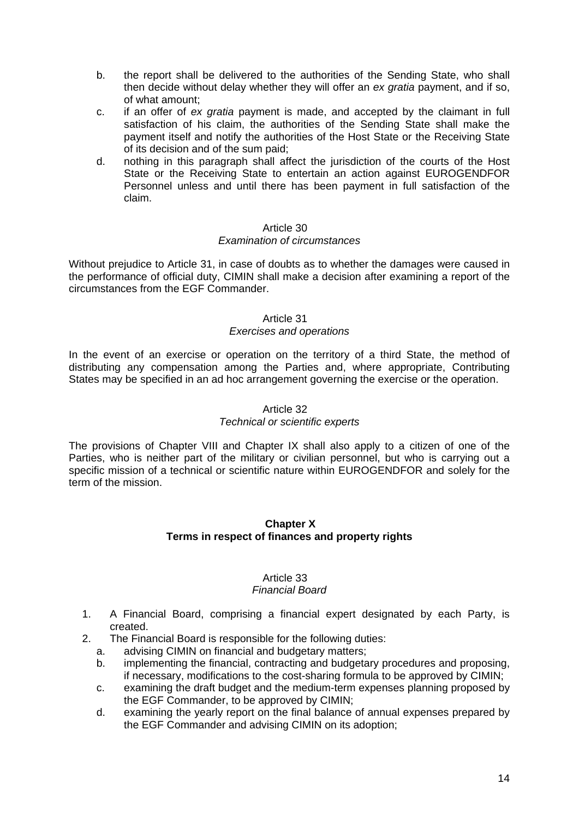- b. the report shall be delivered to the authorities of the Sending State, who shall then decide without delay whether they will offer an *ex gratia* payment, and if so, of what amount;
- c. if an offer of *ex gratia* payment is made, and accepted by the claimant in full satisfaction of his claim, the authorities of the Sending State shall make the payment itself and notify the authorities of the Host State or the Receiving State of its decision and of the sum paid;
- d. nothing in this paragraph shall affect the jurisdiction of the courts of the Host State or the Receiving State to entertain an action against EUROGENDFOR Personnel unless and until there has been payment in full satisfaction of the claim.

#### *Examination of circumstances*

Without prejudice to Article 31, in case of doubts as to whether the damages were caused in the performance of official duty, CIMIN shall make a decision after examining a report of the circumstances from the EGF Commander.

## Article 31

## *Exercises and operations*

In the event of an exercise or operation on the territory of a third State, the method of distributing any compensation among the Parties and, where appropriate, Contributing States may be specified in an ad hoc arrangement governing the exercise or the operation.

#### Article 32

## *Technical or scientific experts*

<span id="page-13-0"></span>The provisions of [Chapter VIII](#page-10-0) and Chapter IX shall also apply to a citizen of one of the [Parties, who is neither part of the military or civilian personnel, but who is carrying out a](#page-11-0)  [specific mission of a technical or scientific nature within EUROGENDFOR and solely for the](#page-11-0)  [term of the mission.](#page-11-0) 

#### **Chapter X Terms in respect of finances and property rights**

#### Article 33 *Financial Board*

- 1. A Financial Board, comprising a financial expert designated by each Party, is created.
- 2. The Financial Board is responsible for the following duties:
	- a. advising CIMIN on financial and budgetary matters;
	- b. implementing the financial, contracting and budgetary procedures and proposing, if necessary, modifications to the cost-sharing formula to be approved by CIMIN;
	- c. examining the draft budget and the medium-term expenses planning proposed by the EGF Commander, to be approved by CIMIN;
	- d. examining the yearly report on the final balance of annual expenses prepared by the EGF Commander and advising CIMIN on its adoption;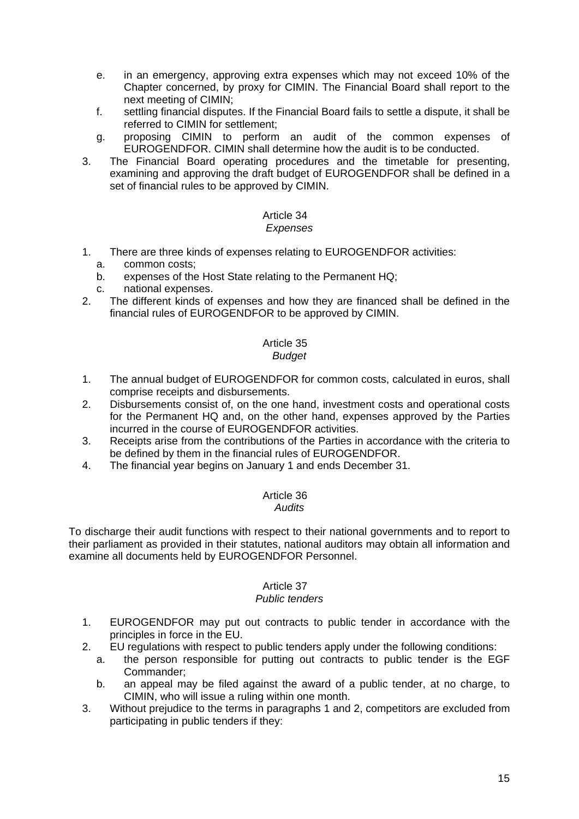- e. in an emergency, approving extra expenses which may not exceed 10% of the Chapter concerned, by proxy for CIMIN. The Financial Board shall report to the next meeting of CIMIN;
- f. settling financial disputes. If the Financial Board fails to settle a dispute, it shall be referred to CIMIN for settlement;
- g. proposing CIMIN to perform an audit of the common expenses of EUROGENDFOR. CIMIN shall determine how the audit is to be conducted.
- 3. The Financial Board operating procedures and the timetable for presenting, examining and approving the draft budget of EUROGENDFOR shall be defined in a set of financial rules to be approved by CIMIN.

#### Article 34 *Expenses*

- 1. There are three kinds of expenses relating to EUROGENDFOR activities:
	- a. common costs;
	- b. expenses of the Host State relating to the Permanent HQ;
	- c. national expenses.
- 2. The different kinds of expenses and how they are financed shall be defined in the financial rules of EUROGENDFOR to be approved by CIMIN.

#### Article 35 *Budget*

- 1. The annual budget of EUROGENDFOR for common costs, calculated in euros, shall comprise receipts and disbursements.
- 2. Disbursements consist of, on the one hand, investment costs and operational costs for the Permanent HQ and, on the other hand, expenses approved by the Parties incurred in the course of EUROGENDFOR activities.
- 3. Receipts arise from the contributions of the Parties in accordance with the criteria to be defined by them in the financial rules of EUROGENDFOR.
- 4. The financial year begins on January 1 and ends December 31.

# Article 36

*Audits* 

To discharge their audit functions with respect to their national governments and to report to their parliament as provided in their statutes, national auditors may obtain all information and examine all documents held by EUROGENDFOR Personnel.

## Article 37

## *Public tenders*

- 1. EUROGENDFOR may put out contracts to public tender in accordance with the principles in force in the EU.
- 2. EU regulations with respect to public tenders apply under the following conditions:
	- a. the person responsible for putting out contracts to public tender is the EGF Commander;
	- b. an appeal may be filed against the award of a public tender, at no charge, to CIMIN, who will issue a ruling within one month.
- 3. Without prejudice to the terms in paragraphs 1 and 2, competitors are excluded from participating in public tenders if they: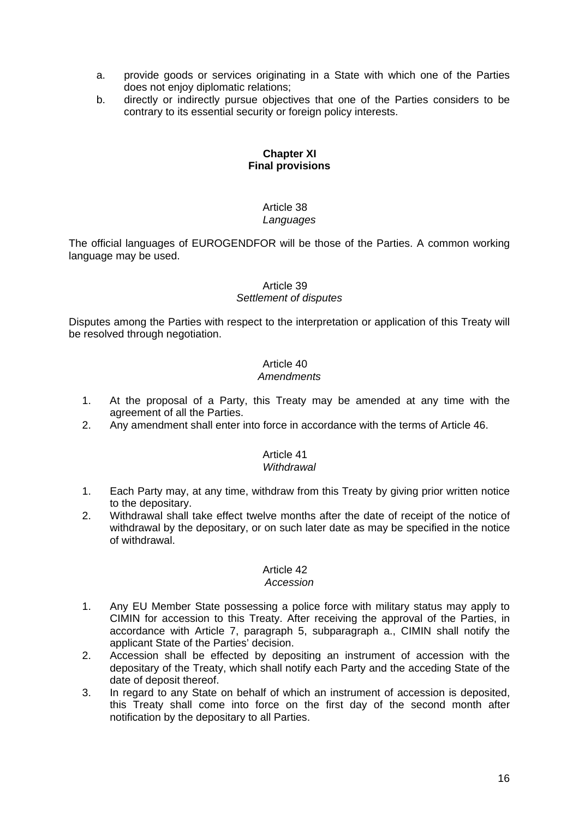- a. provide goods or services originating in a State with which one of the Parties does not enjoy diplomatic relations;
- b. directly or indirectly pursue objectives that one of the Parties considers to be contrary to its essential security or foreign policy interests.

## **Chapter XI Final provisions**

#### Article 38 *Languages*

The official languages of EUROGENDFOR will be those of the Parties. A common working language may be used.

## Article 39

## *Settlement of disputes*

Disputes among the Parties with respect to the interpretation or application of this Treaty will be resolved through negotiation.

## Article 40

## *Amendments*

- 1. At the proposal of a Party, this Treaty may be amended at any time with the agreement of all the Parties.
- 2. Any amendment shall enter into force in accordance with the terms of Article 46.

## Article 41

## *Withdrawal*

- 1. Each Party may, at any time, withdraw from this Treaty by giving prior written notice to the depositary.
- 2. Withdrawal shall take effect twelve months after the date of receipt of the notice of withdrawal by the depositary, or on such later date as may be specified in the notice of withdrawal.

## Article 42

## *Accession*

- 1. Any EU Member State possessing a police force with military status may apply to CIMIN for accession to this Treaty. After receiving the approval of the Parties, in accordance with Article 7, paragraph 5, subparagraph a., CIMIN shall notify the applicant State of the Parties' decision.
- 2. Accession shall be effected by depositing an instrument of accession with the depositary of the Treaty, which shall notify each Party and the acceding State of the date of deposit thereof.
- 3. In regard to any State on behalf of which an instrument of accession is deposited, this Treaty shall come into force on the first day of the second month after notification by the depositary to all Parties.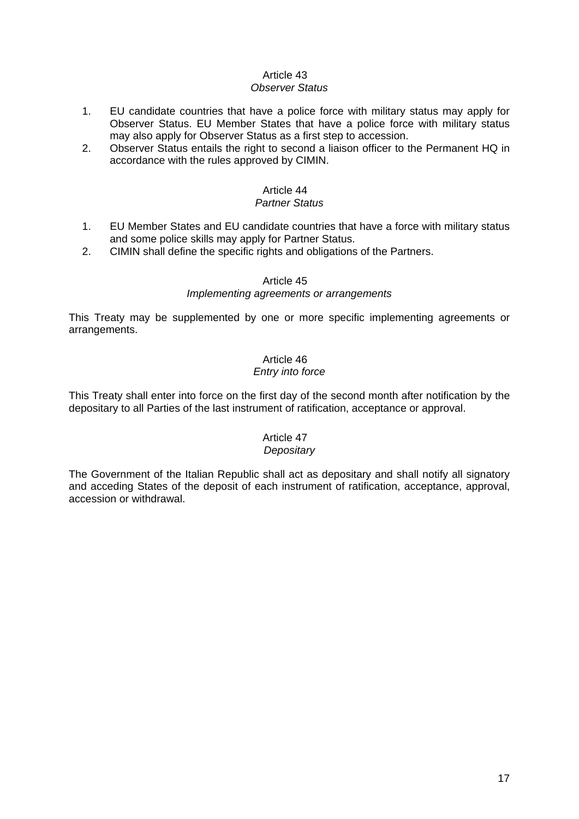## *Observer Status*

- 1. EU candidate countries that have a police force with military status may apply for Observer Status. EU Member States that have a police force with military status may also apply for Observer Status as a first step to accession.
- 2. Observer Status entails the right to second a liaison officer to the Permanent HQ in accordance with the rules approved by CIMIN.

## Article 44

## *Partner Status*

- 1. EU Member States and EU candidate countries that have a force with military status and some police skills may apply for Partner Status.
- 2. CIMIN shall define the specific rights and obligations of the Partners.

## Article 45

## *Implementing agreements or arrangements*

This Treaty may be supplemented by one or more specific implementing agreements or arrangements.

## Article 46 *Entry into force*

This Treaty shall enter into force on the first day of the second month after notification by the depositary to all Parties of the last instrument of ratification, acceptance or approval.

## Article 47

## *Depositary*

The Government of the Italian Republic shall act as depositary and shall notify all signatory and acceding States of the deposit of each instrument of ratification, acceptance, approval, accession or withdrawal.